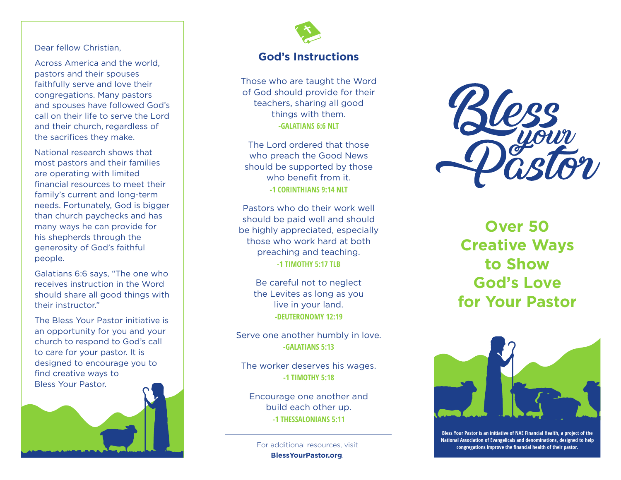#### Dear fellow Christian,

Across America and the world, pastors and their spouses faithfully serve and love their congregations. Many pastors and spouses have followed God's call on their life to serve the Lord and their church, regardless of the sacrifices they make.

National research shows that most pastors and their families are operating with limited financial resources to meet their family's current and long-term needs. Fortunately, God is bigger than church paychecks and has many ways he can provide for his shepherds through the generosity of God's faithful people.

Galatians 6:6 says, "The one who receives instruction in the Word should share all good things with their instructor."

The Bless Your Pastor initiative is an opportunity for you and your church to respond to God's call to care for your pastor. It is designed to encourage you to find creative ways to Bless Your Pastor.





### **God's Instructions**

Those who are taught the Word of God should provide for their teachers, sharing all good things with them. **-GALATIANS 6:6 NLT**

The Lord ordered that those who preach the Good News should be supported by those who benefit from it. **-1 CORINTHIANS 9:14 NLT**

Pastors who do their work well should be paid well and should be highly appreciated, especially those who work hard at both preaching and teaching. **-1 TIMOTHY 5:17 TLB**

Be careful not to neglect the Levites as long as you live in your land. **-DEUTERONOMY 12:19**

Serve one another humbly in love. **-GALATIANS 5:13**

The worker deserves his wages. **-1 TIMOTHY 5:18**

Encourage one another and build each other up. **-1 THESSALONIANS 5:11**

**BlessYourPastor.org** .



**Over 50 Creative Ways to Show God's Love for Your Pastor**



**Bless Your Pastor is an initiative of NAE Financial Health, a project of the National Association of Evangelicals and denominations, designed to help** For additional resources, visit **congregations improve the financial health of their pastor.**